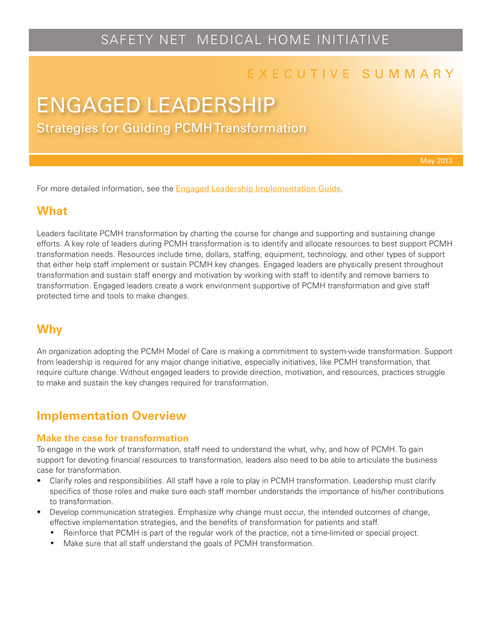## SAFETY NET MEDICAL HOME INITIATIVE

## E X E C U T I V E S U M M A R Y

# ENGAGED LEADERSHIP

Strategies for Guiding PCMH Transformation

For more detailed information, see the **[Engaged Leadership Implementation Guide](http://www.safetynetmedicalhome.org/sites/default/files/Implementation-Guide-Engaged-Leadership.pdf)**.

#### **What**

Leaders facilitate PCMH transformation by charting the course for change and supporting and sustaining change efforts. A key role of leaders during PCMH transformation is to identify and allocate resources to best support PCMH transformation needs. Resources include time, dollars, staffing, equipment, technology, and other types of support that either help staff implement or sustain PCMH key changes. Engaged leaders are physically present throughout transformation and sustain staff energy and motivation by working with staff to identify and remove barriers to transformation. Engaged leaders create a work environment supportive of PCMH transformation and give staff protected time and tools to make changes.

## **Why**

An organization adopting the PCMH Model of Care is making a commitment to system-wide transformation. Support from leadership is required for any major change initiative, especially initiatives, like PCMH transformation, that require culture change. Without engaged leaders to provide direction, motivation, and resources, practices struggle to make and sustain the key changes required for transformation.

## **Implementation Overview**

#### **Make the case for transformation**

To engage in the work of transformation, staff need to understand the what, why, and how of PCMH. To gain support for devoting financial resources to transformation, leaders also need to be able to articulate the business case for transformation.

- Clarify roles and responsibilities. All staff have a role to play in PCMH transformation. Leadership must clarify specifics of those roles and make sure each staff member understands the importance of his/her contributions to transformation.
- Develop communication strategies. Emphasize why change must occur, the intended outcomes of change, effective implementation strategies, and the benefits of transformation for patients and staff.
	- Reinforce that PCMH is part of the regular work of the practice, not a time-limited or special project.
	- Make sure that all staff understand the goals of PCMH transformation.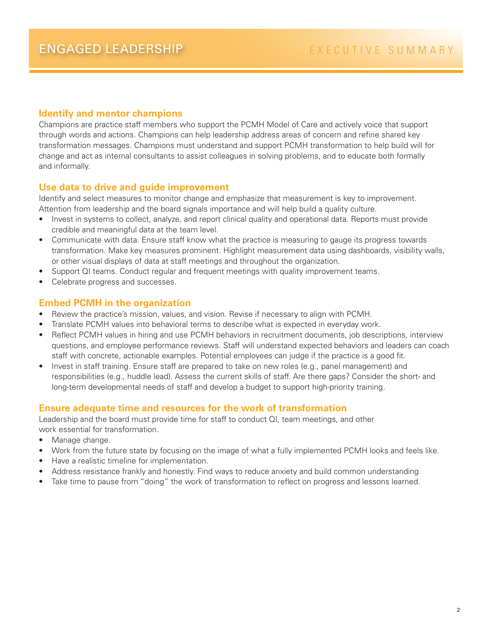#### **Identify and mentor champions**

Champions are practice staff members who support the PCMH Model of Care and actively voice that support through words and actions. Champions can help leadership address areas of concern and refine shared key transformation messages. Champions must understand and support PCMH transformation to help build will for change and act as internal consultants to assist colleagues in solving problems, and to educate both formally and informally.

#### **Use data to drive and guide improvement**

Identify and select measures to monitor change and emphasize that measurement is key to improvement. Attention from leadership and the board signals importance and will help build a quality culture.

- Invest in systems to collect, analyze, and report clinical quality and operational data. Reports must provide credible and meaningful data at the team level.
- Communicate with data. Ensure staff know what the practice is measuring to gauge its progress towards transformation. Make key measures prominent. Highlight measurement data using dashboards, visibility walls, or other visual displays of data at staff meetings and throughout the organization.
- Support QI teams. Conduct regular and frequent meetings with quality improvement teams.
- Celebrate progress and successes.

#### **Embed PCMH in the organization**

- Review the practice's mission, values, and vision. Revise if necessary to align with PCMH.
- Translate PCMH values into behavioral terms to describe what is expected in everyday work.
- Reflect PCMH values in hiring and use PCMH behaviors in recruitment documents, job descriptions, interview questions, and employee performance reviews. Staff will understand expected behaviors and leaders can coach staff with concrete, actionable examples. Potential employees can judge if the practice is a good fit.
- Invest in staff training. Ensure staff are prepared to take on new roles (e.g., panel management) and responsibilities (e.g., huddle lead). Assess the current skills of staff. Are there gaps? Consider the short- and long-term developmental needs of staff and develop a budget to support high-priority training.

#### **Ensure adequate time and resources for the work of transformation**

Leadership and the board must provide time for staff to conduct QI, team meetings, and other work essential for transformation.

- Manage change.
- Work from the future state by focusing on the image of what a fully implemented PCMH looks and feels like.
- Have a realistic timeline for implementation.
- Address resistance frankly and honestly. Find ways to reduce anxiety and build common understanding.
- Take time to pause from "doing" the work of transformation to reflect on progress and lessons learned.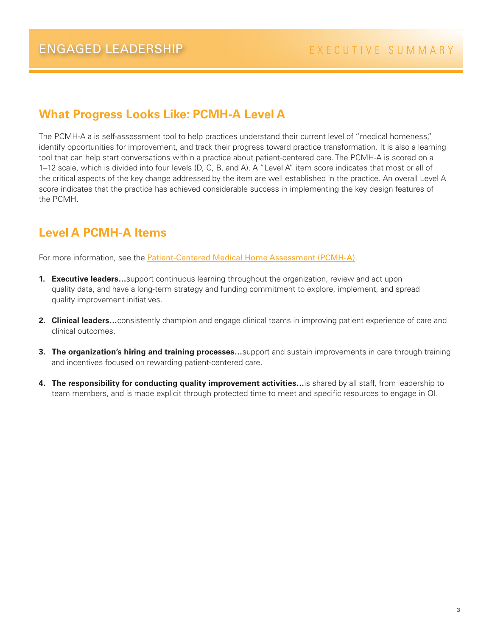## **What Progress Looks Like: PCMH-A Level A**

The PCMH-A a is self-assessment tool to help practices understand their current level of "medical homeness," identify opportunities for improvement, and track their progress toward practice transformation. It is also a learning tool that can help start conversations within a practice about patient-centered care. The PCMH-A is scored on a 1–12 scale, which is divided into four levels (D, C, B, and A). A "Level A" item score indicates that most or all of the critical aspects of the key change addressed by the item are well established in the practice. An overall Level A score indicates that the practice has achieved considerable success in implementing the key design features of the PCMH.

## **Level A PCMH-A Items**

For more information, see the [Patient-Centered Medical Home Assessment \(PCMH-A\)](http://www.safetynetmedicalhome.org/sites/default/files/PCMH-A.pdf).

- **1. Executive leaders…**support continuous learning throughout the organization, review and act upon quality data, and have a long-term strategy and funding commitment to explore, implement, and spread quality improvement initiatives.
- **2. Clinical leaders…**consistently champion and engage clinical teams in improving patient experience of care and clinical outcomes.
- **3. The organization's hiring and training processes…**support and sustain improvements in care through training and incentives focused on rewarding patient-centered care.
- **4. The responsibility for conducting quality improvement activities…**is shared by all staff, from leadership to team members, and is made explicit through protected time to meet and specific resources to engage in QI.